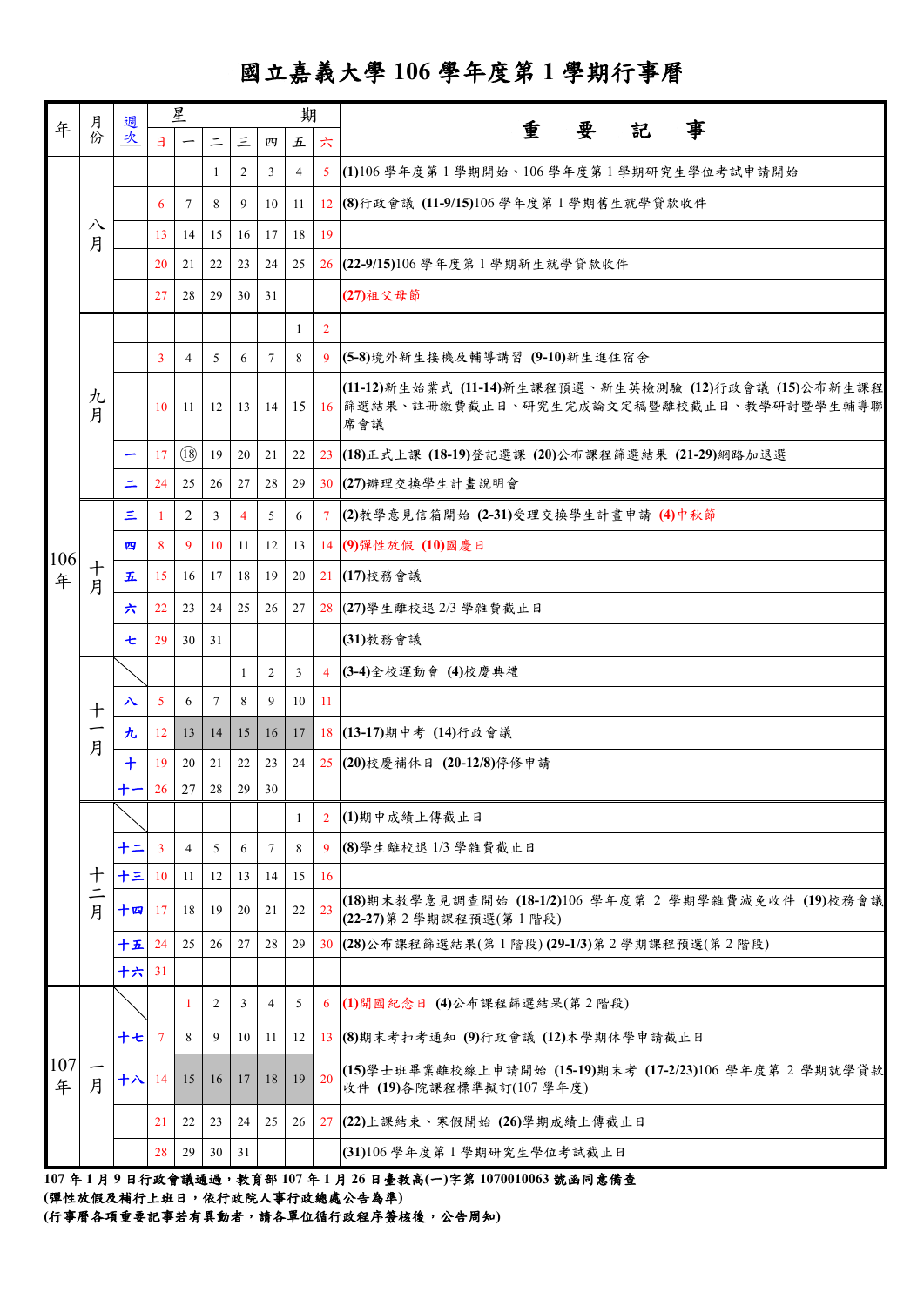## 國立嘉義大學 **106** 學年度第 **1** 學期行事曆

| 年        | 月份                   |           |                 | 星              |          |                |                | 期               |                | 事<br>重                                                                                                     |
|----------|----------------------|-----------|-----------------|----------------|----------|----------------|----------------|-----------------|----------------|------------------------------------------------------------------------------------------------------------|
|          |                      | 週次        | $\mathbf{H}$    |                | $\equiv$ | $\Xi$          | 四              | 五               | 六              | 要<br>記                                                                                                     |
|          |                      |           |                 |                | 1        | 2              | 3              | $\overline{4}$  | 5 <sup>1</sup> | (1)106學年度第1學期開始、106學年度第1學期研究生學位考試申請開始                                                                      |
|          |                      |           | 6               | 7              | 8        | 9              | 10             | 11              |                | 12 (8)行政會議 (11-9/15)106 學年度第1學期舊生就學貸款收件                                                                    |
|          | 八<br>月               |           | 13              | 14             | 15       | 16             | 17             | 18              | 19             |                                                                                                            |
|          |                      |           | 20              | 21             | 22       | 23             | 24             | 25              |                | 26 (22-9/15)106 學年度第1學期新生就學貸款收件                                                                            |
|          |                      |           | 27              | 28             | 29       | 30             | 31             |                 |                | (27) 祖父母節                                                                                                  |
|          |                      |           |                 |                |          |                |                | 1               | $\overline{2}$ |                                                                                                            |
|          |                      |           | $\overline{3}$  | $\overline{4}$ | 5        | 6              | $\tau$         | 8               | 9              | (5-8)境外新生接機及輔導講習 (9-10)新生進住宿舍                                                                              |
|          | 九<br>月               |           | 10              | -11            | 12       | 13             | 14             | 15 <sup>1</sup> |                | (11-12)新生始業式 (11-14)新生課程預選、新生英檢測驗 (12)行政會議 (15)公布新生課程<br>16 篩選結果、註冊繳費截止日、研究生完成論文定稿暨離校截止日、教學研討暨學生輔導聯<br>席會議 |
|          |                      |           | 17              | (18)           | 19       | 20             | 21             | 22              |                | 23 (18)正式上課 (18-19)登記選課 (20)公布課程篩選結果 (21-29)網路加退選                                                          |
|          |                      | Ξ         | 24              | 25             | 26       | 27             | 28             | 29              |                | 30 (27) 辨理交换學生計畫說明會                                                                                        |
|          | 十<br>月               | 三         | -1              | $\overline{2}$ | 3        | $\overline{4}$ | 5              | 6               | $7^{\circ}$    | (2)教學意見信箱開始 (2-31)受理交換學生計畫申請 (4)中秋節                                                                        |
|          |                      | 四         | 8               | 9              | 10       | 11             | 12             | 13              |                | 14 (9)彈性放假 (10)國慶日                                                                                         |
| 106<br>年 |                      | 五         | 15              | 16             | 17       | 18             | 19             | 20              |                | 21 (17) 校務會議                                                                                               |
|          |                      | 六         | 22              | 23             | 24       | 25             | 26             | 27              |                | 28 (27) 學生離校退 2/3 學雜費截止日                                                                                   |
|          |                      | 七         | 29              | 30             | 31       |                |                |                 |                | (31)教務會議                                                                                                   |
|          | $\ddagger$<br>-<br>月 |           |                 |                |          | -1             | $\overline{2}$ | 3               |                | 4 (3-4)全校運動會 (4)校慶典禮                                                                                       |
|          |                      | $\lambda$ | $\overline{5}$  | 6              | $\tau$   | 8              | 9              | 10              | 11             |                                                                                                            |
|          |                      | 九         | 12 <sup>7</sup> | 13             | 14       | 15             | 16             | 17              |                | 18 (13-17)期中考 (14)行政會議                                                                                     |
|          |                      | $\bm{+}$  | 19              | 20             | 21       | 22             | 23             | 24              |                | 25 (20)校慶補休日 (20-12/8)停修申請                                                                                 |
|          |                      | 十一        | 26              | $27\,$         | 28       | 29             | 30             |                 |                |                                                                                                            |
|          | 十<br>$\equiv$<br>月   |           |                 |                |          |                |                | $\mathbf{1}$    | $\overline{2}$ | (1)期中成績上傳截止日                                                                                               |
|          |                      | 十二        | $\overline{3}$  | 4              | 5        | 6              | 7              | 8               | 9              | (8)學生離校退1/3學雜費截止日                                                                                          |
|          |                      | 十三        | <b>10</b>       | 11             | 12       | 13             | 14             | 15              | 16             |                                                                                                            |
|          |                      | 十四        | 17              | 18             | 19       | 20             | 21             | 22              | 23             | (18)期末教學意見調查開始 (18-1/2)106 學年度第 2 學期學雜費減免收件 (19)校務會議<br>(22-27) 第 2 學期課程預選(第 1 階段)                         |
|          |                      | 十五        | 24              | 25             | 26       | 27             | 28             | 29              |                | 30 (28)公布課程篩選結果(第1階段)(29-1/3)第2學期課程預選(第2階段)                                                                |
|          |                      | 十六        | 31              |                |          |                |                |                 |                |                                                                                                            |
|          |                      |           |                 | 1              | 2        | 3              | $\overline{4}$ | 5               | 6              | (1)開國紀念日 (4)公布課程篩選結果(第2階段)                                                                                 |
|          | 月                    | 十七        | $\overline{7}$  | 8              | 9        | 10             | 11             | 12              |                | 13 (8)期末考扣考通知 (9)行政會議 (12)本學期休學申請截止日                                                                       |
| 107<br>年 |                      | 十八 14     |                 | 15             | 16       | 17             | 18             | 19              | 20             | (15)學士班畢業離校線上申請開始 (15-19)期末考 (17-2/23)106 學年度第 2 學期就學貸款<br>收件 (19)各院課程標準擬訂(107學年度)                         |
|          |                      |           | 21              | 22             | 23       | 24             | 25             | 26              |                | 27 (22)上課結束、寒假開始 (26)學期成績上傳截止日                                                                             |
|          |                      |           | 28              | 29             | 30       | 31             |                |                 |                | (31)106學年度第1學期研究生學位考試截止日                                                                                   |
|          |                      |           |                 |                |          |                |                |                 |                |                                                                                                            |

**107** 年 **1** 月 **9** 日行政會議通過,教育部 **107** 年 **1** 月 **26** 日臺教高**(**一**)**字第 **1070010063** 號函同意備查

**(**彈性放假及補行上班日,依行政院人事行政總處公告為準**)**

**(**行事曆各項重要記事若有異動者,請各單位循行政程序簽核後,公告周知**)**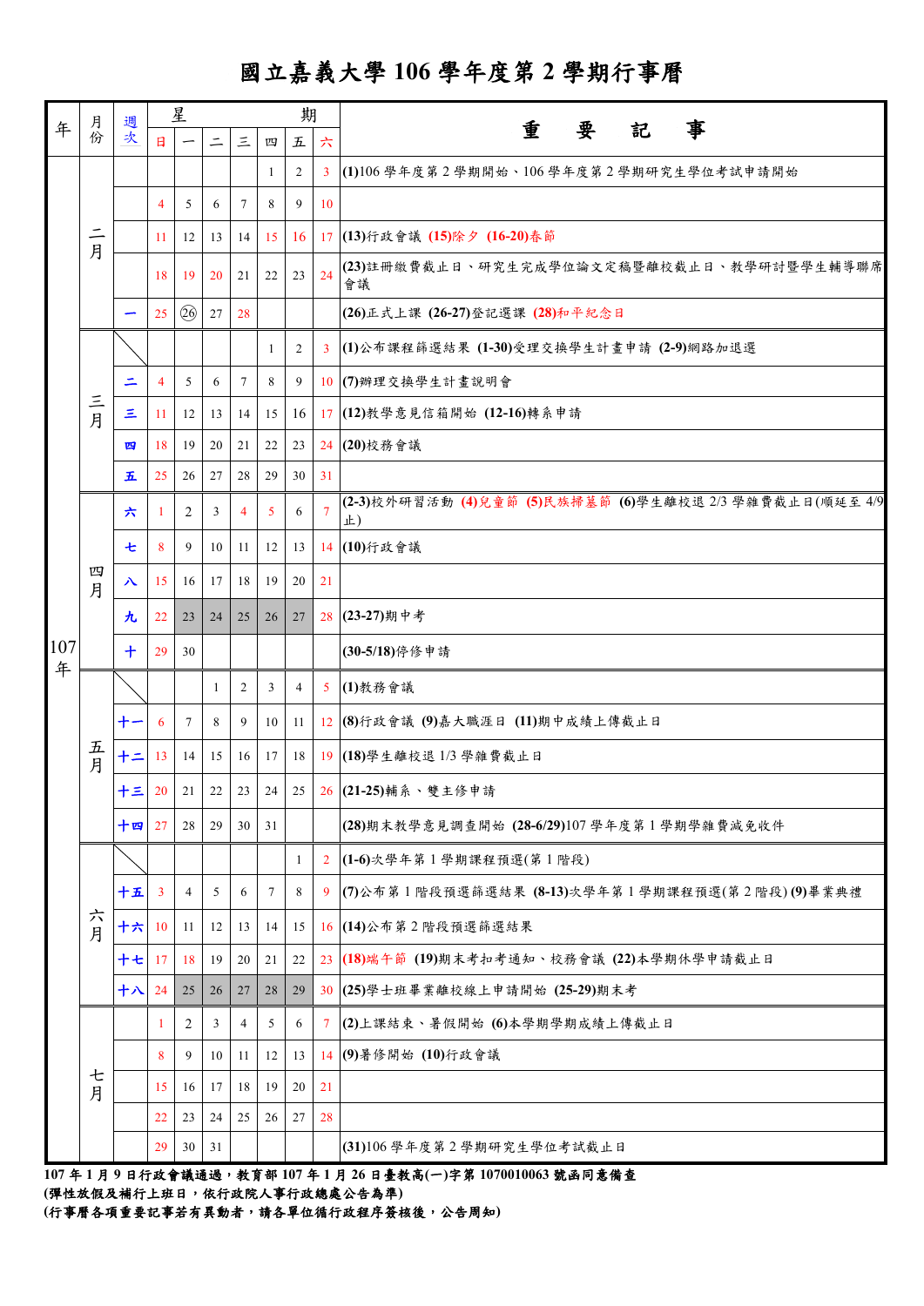## 國立嘉義大學 **106** 學年度第 **2** 學期行事曆

|          | 月<br>份        | 週<br>文               |                | 星              |              |          |                | 期              |                |                                                               |
|----------|---------------|----------------------|----------------|----------------|--------------|----------|----------------|----------------|----------------|---------------------------------------------------------------|
| 年        |               |                      | $\mathbf{H}$   |                | $\equiv$     | $\equiv$ | 四              | 五              | 六              | 事<br>重<br>要<br>記                                              |
|          |               |                      |                |                |              |          | -1             | $\overline{2}$ | $\overline{3}$ | (1)106學年度第2學期開始、106學年度第2學期研究生學位考試申請開始                         |
|          |               |                      | $\overline{4}$ | 5              | 6            | 7        | 8              | 9              | 10             |                                                               |
|          | $\equiv$<br>月 |                      | 11             | 12             | 13           | 14       | 15             | 16             | 17             | (13)行政會議 (15)除夕 (16-20)春節                                     |
|          |               |                      | 18             | 19             | 20           | 21       | 22             | 23             | 24             | (23)註冊繳費截止日、研究生完成學位論文定稿暨離校截止日、教學研討暨學生輔導聯席<br>會議               |
|          |               |                      | 25             | 26             | 27           | 28       |                |                |                | (26)正式上課 (26-27)登記選課 (28)和平紀念日                                |
|          |               |                      |                |                |              |          | -1             | $\overline{2}$ | $\mathbf{3}$   | (1)公布課程篩選結果 (1-30)受理交換學生計畫申請 (2-9)網路加退選                       |
|          |               | ᆖ                    | $\overline{4}$ | 5              | 6            | 7        | 8              | 9              |                | 10 (7) 辨理交换學生計畫說明會                                            |
|          | 三月            | Ξ                    | -11            | 12             | 13           | 14       | 15             | 16             | 17             | (12)教學意見信箱開始 (12-16)轉系申請                                      |
|          |               | 四                    | 18             | 19             | 20           | 21       | 22             | 23             | 24             | (20)校務會議                                                      |
|          |               | 五                    | 25             | 26             | 27           | 28       | 29             | 30             | 31             |                                                               |
|          |               | 六                    | $\mathbf{1}$   | 2              | 3            | 4        | $\mathfrak{S}$ | 6              | $\overline{7}$ | (2-3)校外研習活動 (4)兒童節 (5)民族掃墓節 (6)學生離校退 2/3 學雜費截止日(順延至 4/9<br>止) |
|          |               | t                    | 8              | 9              | 10           | 11       | 12             | 13             | 14             | (10)行政會議                                                      |
|          | 四<br>月        | 八                    | 15             | 16             | 17           | 18       | 19             | 20             | 21             |                                                               |
|          |               | 九                    | 22             | 23             | 24           | 25       | 26             | 27             | 28             | (23-27)期中考                                                    |
| 107<br>年 |               | $\ddot{\phantom{1}}$ | 29             | 30             |              |          |                |                |                | (30-5/18)停修申請                                                 |
|          | 五<br>月        |                      |                |                | $\mathbf{1}$ | 2        | $\overline{3}$ | $\overline{4}$ | 5 <sup>5</sup> | (1)教務會議                                                       |
|          |               | $+-$                 | 6              | $\tau$         | 8            | 9        | 10             | 11             |                | 12 (8)行政會議 (9)嘉大職涯日 (11)期中成績上傳截止日                             |
|          |               | 十二                   | 13             | 14             | 15           | 16       | 17             | 18             | 19             | (18)學生離校退1/3 學雜費截止日                                           |
|          |               | 十三                   |                | $20 \quad 21$  | 22           | 23       |                |                |                | 24 25 26 (21-25)輔系、雙主修申請                                      |
|          |               | 十四 27                |                | 28             | 29           | 30       | 31             |                |                | (28)期末教學意見調查開始 (28-6/29)107學年度第1學期學雜費減免收件                     |
|          |               |                      |                |                |              |          |                | 1              | $\overline{2}$ | (1-6)次學年第1學期課程預選(第1階段)                                        |
|          |               | 十五                   | $\overline{3}$ | $\overline{4}$ | 5            | 6        | $\tau$         | 8              | 9              | (7)公布第1階段預選篩選結果 (8-13)次學年第1學期課程預選(第2階段)(9)畢業典禮                |
|          | 六月            | 十六 10                |                | 11             | 12           | 13       | 14             | 15             |                | 16 (14)公布第2階段預選篩選結果                                           |
|          |               | 十七 17                |                | 18             | 19           | 20       | 21             | 22             |                | 23 (18)端午節 (19)期末考扣考通知、校務會議 (22)本學期休學申請截止日                    |
|          |               | 十八                   | 24             | 25             | 26           | 27       | 28             | 29             |                | 30 (25)學士班畢業離校線上申請開始 (25-29)期末考                               |
|          |               |                      | -1             | 2              | 3            | 4        | 5              | 6              | $\tau$         | (2)上課結束、暑假開始 (6)本學期學期成績上傳截止日                                  |
|          |               |                      | 8              | 9              | 10           | 11       | 12             | 13             |                | 14 (9)暑修開始 (10)行政會議                                           |
|          | 七<br>月        |                      | 15             | 16             | 17           | 18       | 19             | 20             | 21             |                                                               |
|          |               |                      | 22             | 23             | 24           | 25       | 26             | 27             | 28             |                                                               |
|          |               |                      | 29             | 30             | 31           |          |                |                |                | (31)106學年度第2學期研究生學位考試截止日                                      |

**107** 年 **1** 月 **9** 日行政會議通過,教育部 **107** 年 **1** 月 **26** 日臺教高**(**一**)**字第 **1070010063** 號函同意備查 **(**彈性放假及補行上班日,依行政院人事行政總處公告為準**)**

**(**行事曆各項重要記事若有異動者,請各單位循行政程序簽核後,公告周知**)**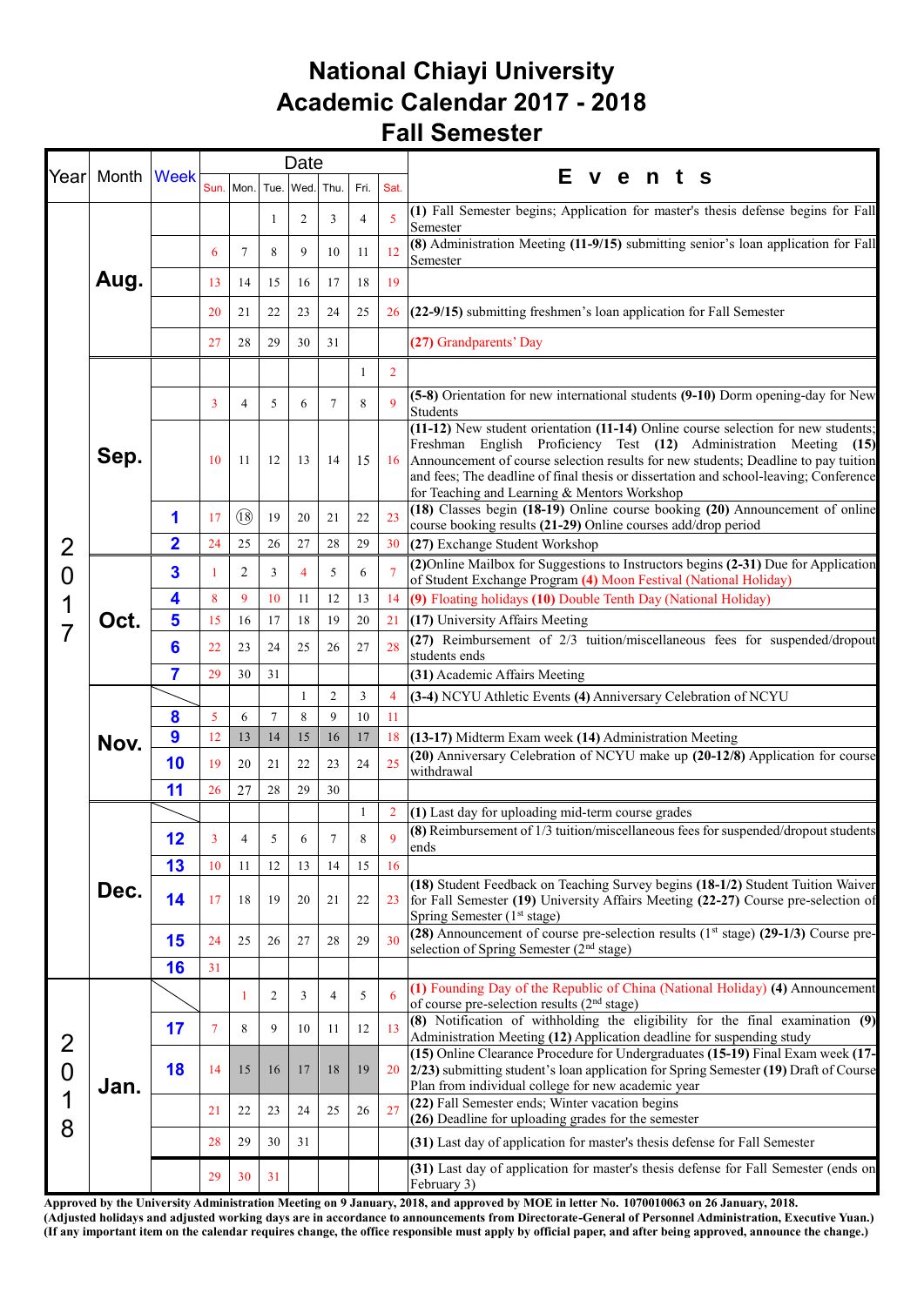## **National Chiayi University Academic Calendar 2017 - 2018 Fall Semester**

|                                            | Year Month Week |                         |                |                   |                | Date                     |        |                |                | Е<br>vent<br>S                                                                                                                                                                                                                                                                                                                                                                         |
|--------------------------------------------|-----------------|-------------------------|----------------|-------------------|----------------|--------------------------|--------|----------------|----------------|----------------------------------------------------------------------------------------------------------------------------------------------------------------------------------------------------------------------------------------------------------------------------------------------------------------------------------------------------------------------------------------|
|                                            |                 |                         |                |                   |                | Sun. Mon. Tue. Wed. Thu. |        | Fri.           | Sat.           |                                                                                                                                                                                                                                                                                                                                                                                        |
|                                            |                 |                         |                |                   | 1              | $\overline{2}$           | 3      | 4              | 5              | (1) Fall Semester begins; Application for master's thesis defense begins for Fall<br>Semester                                                                                                                                                                                                                                                                                          |
|                                            | Aug.            |                         | 6              | 7                 | 8              | 9                        | 10     | 11             | 12             | (8) Administration Meeting (11-9/15) submitting senior's loan application for Fall<br>Semester                                                                                                                                                                                                                                                                                         |
|                                            |                 |                         | 13             | 14                | 15             | 16                       | 17     | 18             | 19             |                                                                                                                                                                                                                                                                                                                                                                                        |
|                                            |                 |                         | 20             | 21                | 22             | 23                       | 24     | 25             | 26             | $(22-9/15)$ submitting freshmen's loan application for Fall Semester                                                                                                                                                                                                                                                                                                                   |
|                                            |                 |                         | 27             | 28                | 29             | 30                       | 31     |                |                | (27) Grandparents' Day                                                                                                                                                                                                                                                                                                                                                                 |
|                                            |                 |                         |                |                   |                |                          |        | 1              | $\overline{2}$ |                                                                                                                                                                                                                                                                                                                                                                                        |
|                                            |                 |                         | 3              | 4                 | 5              | 6                        | 7      | 8              | $\mathbf{Q}$   | (5-8) Orientation for new international students (9-10) Dorm opening-day for New<br>Students                                                                                                                                                                                                                                                                                           |
|                                            | Sep.            |                         | 10             | 11                | 12             | 13                       | 14     | 15             | 16             | (11-12) New student orientation (11-14) Online course selection for new students;<br>Freshman English Proficiency Test (12) Administration Meeting (15)<br>Announcement of course selection results for new students; Deadline to pay tuition<br>and fees; The deadline of final thesis or dissertation and school-leaving; Conference<br>for Teaching and Learning & Mentors Workshop |
|                                            |                 | 1                       | 17             | $(\overline{18})$ | 19             | 20                       | 21     | 22             | 23             | (18) Classes begin (18-19) Online course booking (20) Announcement of online<br>course booking results (21-29) Online courses add/drop period                                                                                                                                                                                                                                          |
| $\overline{2}$                             |                 | $\overline{\mathbf{2}}$ | 24             | 25                | 26             | 27                       | 28     | 29             | 30             | (27) Exchange Student Workshop                                                                                                                                                                                                                                                                                                                                                         |
| $\overline{0}$                             |                 | 3                       | -1             | 2                 | 3              | $\overline{4}$           | 5      | 6              | $\overline{7}$ | (2)Online Mailbox for Suggestions to Instructors begins (2-31) Due for Application<br>of Student Exchange Program (4) Moon Festival (National Holiday)                                                                                                                                                                                                                                 |
| 1                                          |                 | 4                       | 8              | 9                 | 10             | 11                       | 12     | 13             | 14             | (9) Floating holidays (10) Double Tenth Day (National Holiday)                                                                                                                                                                                                                                                                                                                         |
|                                            | Oct.<br>Nov.    | 5                       | 15             | 16                | 17             | 18                       | 19     | 20             | 21             | (17) University Affairs Meeting<br>(27) Reimbursement of 2/3 tuition/miscellaneous fees for suspended/dropout                                                                                                                                                                                                                                                                          |
|                                            |                 | 6<br>7                  | 22<br>29       | 23                | 24             | 25                       | 26     | 27             | 28             | students ends                                                                                                                                                                                                                                                                                                                                                                          |
|                                            |                 |                         |                | 30                | 31             | 1                        | 2      | $\mathfrak{Z}$ | $\overline{4}$ | (31) Academic Affairs Meeting<br>(3-4) NCYU Athletic Events (4) Anniversary Celebration of NCYU                                                                                                                                                                                                                                                                                        |
|                                            |                 | 8                       | 5              | 6                 | 7              | 8                        | 9      | 10             | 11             |                                                                                                                                                                                                                                                                                                                                                                                        |
|                                            |                 | $\boldsymbol{9}$        | 12             | 13                | 14             | 15                       | 16     | 17             | 18             | (13-17) Midterm Exam week (14) Administration Meeting                                                                                                                                                                                                                                                                                                                                  |
|                                            |                 | 10                      | 19             | 20                | 21             | 22                       | 23     | 24             | 25             | (20) Anniversary Celebration of NCYU make up (20-12/8) Application for course<br>withdrawal                                                                                                                                                                                                                                                                                            |
|                                            |                 | 11                      | 26             | 27                | 28             | 29                       | 30     |                |                |                                                                                                                                                                                                                                                                                                                                                                                        |
|                                            |                 |                         |                |                   |                |                          |        | 1              | $\overline{2}$ | (1) Last day for uploading mid-term course grades                                                                                                                                                                                                                                                                                                                                      |
|                                            |                 | 12                      | 3              | $\overline{4}$    | 5              | 6                        | $\tau$ | 8              | $\mathbf{Q}$   | (8) Reimbursement of 1/3 tuition/miscellaneous fees for suspended/dropout students<br>ends                                                                                                                                                                                                                                                                                             |
|                                            |                 | 13                      | 10             | 11                | 12             | 13                       | 14     | 15             | 16             |                                                                                                                                                                                                                                                                                                                                                                                        |
|                                            | Dec.            | 14                      | 17             | 18                | 19             | 20                       | 21     | 22             | 23             | (18) Student Feedback on Teaching Survey begins (18-1/2) Student Tuition Waiver<br>for Fall Semester (19) University Affairs Meeting (22-27) Course pre-selection of<br>Spring Semester (1st stage)                                                                                                                                                                                    |
|                                            |                 | 15                      | 24             | 25                | 26             | 27                       | 28     | 29             | 30             | (28) Announcement of course pre-selection results ( $1st$ stage) (29-1/3) Course pre-<br>selection of Spring Semester (2 <sup>nd</sup> stage)                                                                                                                                                                                                                                          |
|                                            |                 | 16                      | 31             |                   |                |                          |        |                |                |                                                                                                                                                                                                                                                                                                                                                                                        |
| $\overline{2}$<br>$\overline{0}$<br>1<br>8 |                 |                         |                | 1                 | $\overline{2}$ | 3                        | 4      | 5              | 6              | (1) Founding Day of the Republic of China (National Holiday) (4) Announcement<br>of course pre-selection results (2 <sup>nd</sup> stage)                                                                                                                                                                                                                                               |
|                                            | Jan.            | 17                      | $\overline{7}$ | 8                 | 9              | 10                       | 11     | 12             | 13             | (8) Notification of withholding the eligibility for the final examination (9)<br>Administration Meeting (12) Application deadline for suspending study                                                                                                                                                                                                                                 |
|                                            |                 | 18                      | 14             | 15                | 16             | 17                       | 18     | 19             | 20             | (15) Online Clearance Procedure for Undergraduates (15-19) Final Exam week (17-<br>2/23) submitting student's loan application for Spring Semester (19) Draft of Course<br>Plan from individual college for new academic year                                                                                                                                                          |
|                                            |                 |                         | 21             | 22                | 23             | 24                       | 25     | 26             | 27             | (22) Fall Semester ends; Winter vacation begins<br>(26) Deadline for uploading grades for the semester                                                                                                                                                                                                                                                                                 |
|                                            |                 |                         | 28             | 29                | 30             | 31                       |        |                |                | (31) Last day of application for master's thesis defense for Fall Semester                                                                                                                                                                                                                                                                                                             |
|                                            |                 |                         | 29             | 30                | 31             |                          |        |                |                | (31) Last day of application for master's thesis defense for Fall Semester (ends on<br>February 3)                                                                                                                                                                                                                                                                                     |

**Approved by the University Administration Meeting on 9 January, 2018, and approved by MOE in letter No. 1070010063 on 26 January, 2018. (Adjusted holidays and adjusted working days are in accordance to announcements from Directorate-General of Personnel Administration, Executive Yuan.) (If any important item on the calendar requires change, the office responsible must apply by official paper, and after being approved, announce the change.)**